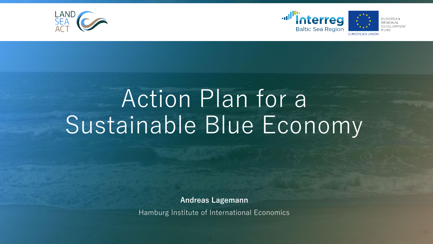



# Action Plan for a Sustainable Blue Economy

**Andreas Lagemann**

Hamburg Institute of International Economics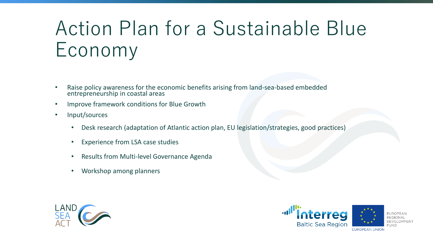## Action Plan for a Sustainable Blue Economy

- Raise policy awareness for the economic benefits arising from land-sea-based embedded entrepreneurship in coastal areas
- Improve framework conditions for Blue Growth
- Input/sources
	- Desk research (adaptation of Atlantic action plan, EU legislation/strategies, good practices)
	- Experience from LSA case studies
	- Results from Multi-level Governance Agenda
	- Workshop among planners



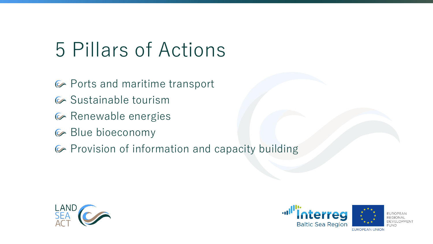### 5 Pillars of Actions

- Ports and maritime transport
- G Sustainable tourism
- G Renewable energies
- Blue bioeconomy
- Provision of information and capacity building



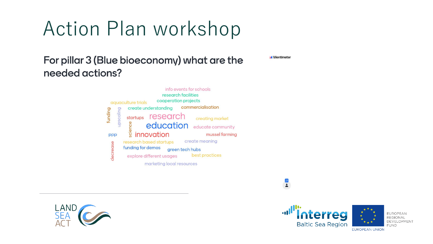## Action Plan workshop

### For pillar 3 (Blue bioeconomy) what are the needed actions?







**EUROPEAN REGIONAL** DEVELOPMENT **FUND** 

**Mentimeter** 

 $\frac{21}{2}$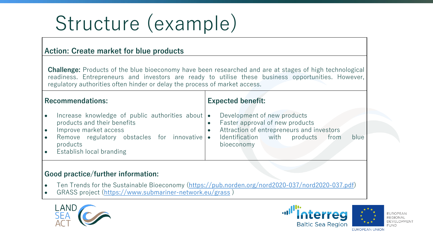# Structure (example)

### **Action: Create market for blue products**

**Challenge:** Products of the blue bioeconomy have been researched and are at stages of high technological readiness. Entrepreneurs and investors are ready to utilise these business opportunities. However, regulatory authorities often hinder or delay the process of market access.

#### **Recommendations:**

- Increase knowledge of public authorities about  $\bullet$ products and their benefits
- Improve market access
- Remove regulatory obstacles for innovative products
- Establish local branding

### **Expected benefit:**

- Development of new products
- Faster approval of new products
- Attraction of entrepreneurs and investors
- Identification with products from blue bioeconomy

#### **Good practice/further information:**

- Ten Trends for the Sustainable Bioeconomy ([https://pub.norden.org/nord2020-037/nord2020-037.pdf\)](https://pub.norden.org/nord2020-037/nord2020-037.pdf)
- GRASS project [\(https://www.submariner-network.eu/grass](https://www.submariner-network.eu/grass) )



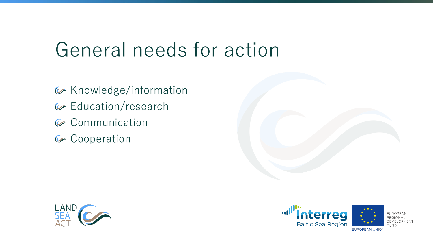### General needs for action

- G Knowledge/information
- G Education/research
- G Communication
- G Cooperation

LAND<br>SEA